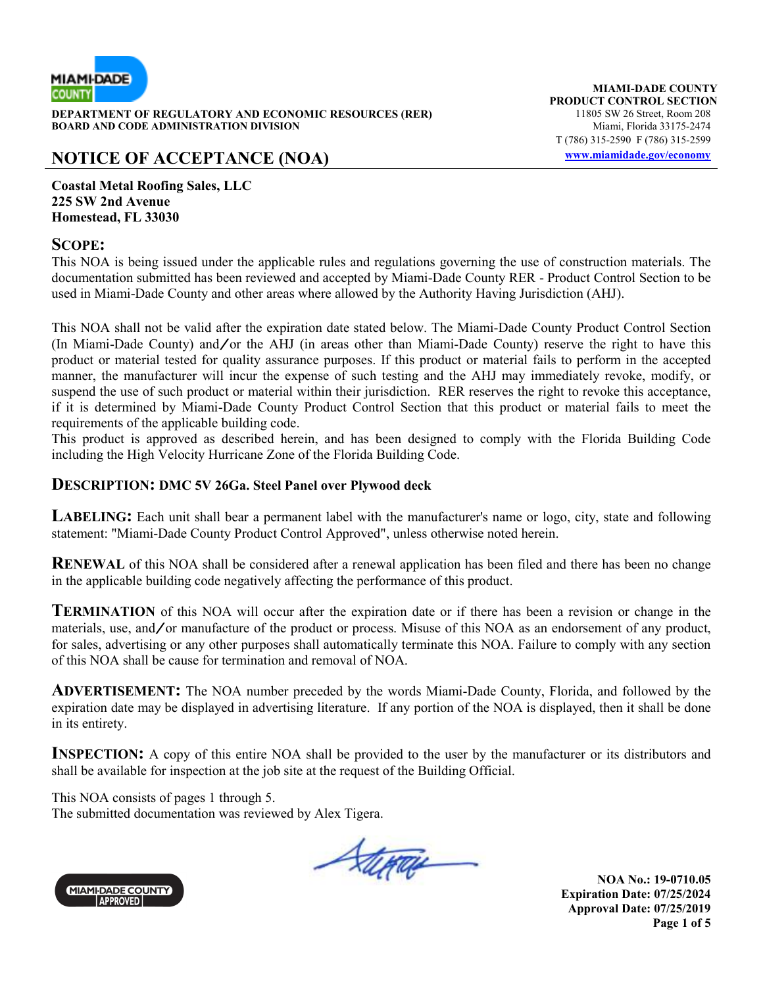

**DEPARTMENT OF REGULATORY AND ECONOMIC RESOURCES (RER)** 11805 SW 26 Street, Room 208<br>**BOARD AND CODE ADMINISTRATION DIVISION** 11807 11805 SW 26 Street, Room 208 **BOARD AND CODE ADMINISTRATION DIVISION** 

# **NOTICE OF ACCEPTANCE (NOA) www.miamidade.gov/economy**

**MIAMI-DADE COUNTY PRODUCT CONTROL SECTION** T (786) 315-2590 F (786) 315-2599

**Coastal Metal Roofing Sales, LLC 225 SW 2nd Avenue Homestead, FL 33030** 

### **SCOPE:**

This NOA is being issued under the applicable rules and regulations governing the use of construction materials. The documentation submitted has been reviewed and accepted by Miami-Dade County RER - Product Control Section to be used in Miami-Dade County and other areas where allowed by the Authority Having Jurisdiction (AHJ).

This NOA shall not be valid after the expiration date stated below. The Miami-Dade County Product Control Section (In Miami-Dade County) and/or the AHJ (in areas other than Miami-Dade County) reserve the right to have this product or material tested for quality assurance purposes. If this product or material fails to perform in the accepted manner, the manufacturer will incur the expense of such testing and the AHJ may immediately revoke, modify, or suspend the use of such product or material within their jurisdiction. RER reserves the right to revoke this acceptance, if it is determined by Miami-Dade County Product Control Section that this product or material fails to meet the requirements of the applicable building code.

This product is approved as described herein, and has been designed to comply with the Florida Building Code including the High Velocity Hurricane Zone of the Florida Building Code.

### **DESCRIPTION: DMC 5V 26Ga. Steel Panel over Plywood deck**

**LABELING:** Each unit shall bear a permanent label with the manufacturer's name or logo, city, state and following statement: "Miami-Dade County Product Control Approved", unless otherwise noted herein.

**RENEWAL** of this NOA shall be considered after a renewal application has been filed and there has been no change in the applicable building code negatively affecting the performance of this product.

**TERMINATION** of this NOA will occur after the expiration date or if there has been a revision or change in the materials, use, and/or manufacture of the product or process. Misuse of this NOA as an endorsement of any product, for sales, advertising or any other purposes shall automatically terminate this NOA. Failure to comply with any section of this NOA shall be cause for termination and removal of NOA.

**ADVERTISEMENT:** The NOA number preceded by the words Miami-Dade County, Florida, and followed by the expiration date may be displayed in advertising literature. If any portion of the NOA is displayed, then it shall be done in its entirety.

**INSPECTION:** A copy of this entire NOA shall be provided to the user by the manufacturer or its distributors and shall be available for inspection at the job site at the request of the Building Official.

This NOA consists of pages 1 through 5. The submitted documentation was reviewed by Alex Tigera.

Stepau

**MIAMI-DADE COUNTY APPROVED** 

**NOA No.: 19-0710.05 Expiration Date: 07/25/2024 Approval Date: 07/25/2019 Page 1 of 5**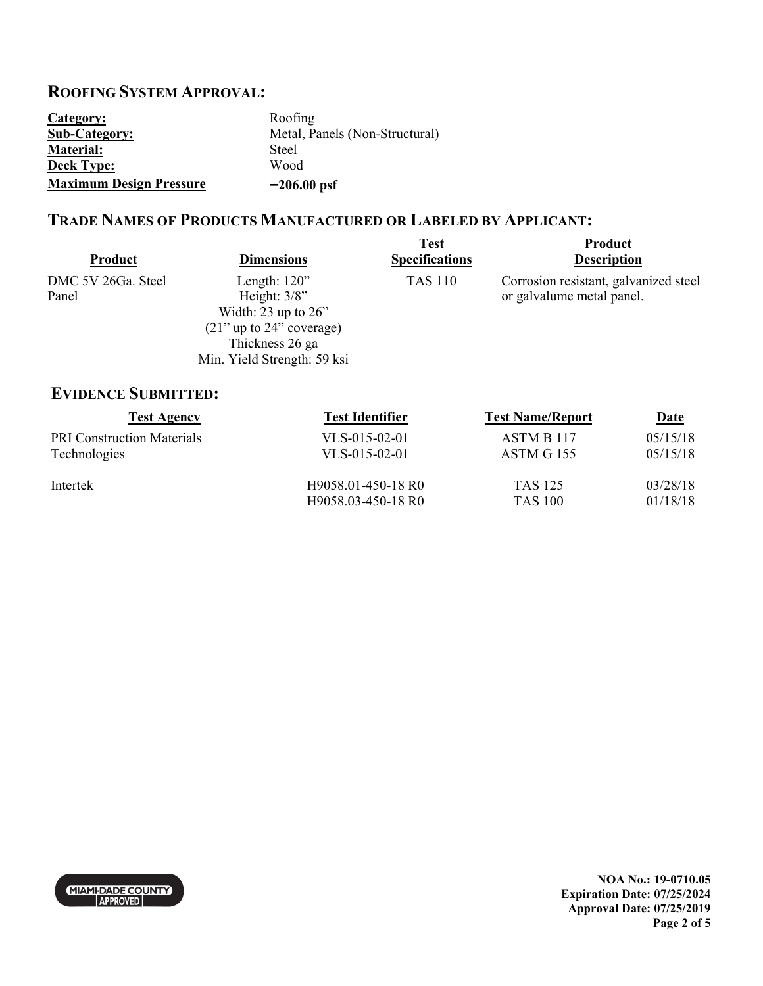## **ROOFING SYSTEM APPROVAL:**

| Category:                      | Roofing                        |
|--------------------------------|--------------------------------|
| <b>Sub-Category:</b>           | Metal, Panels (Non-Structural) |
| <b>Material:</b>               | <b>Steel</b>                   |
| <b>Deck Type:</b>              | Wood                           |
| <b>Maximum Design Pressure</b> | $-206.00$ psf                  |

### **TRADE NAMES OF PRODUCTS MANUFACTURED OR LABELED BY APPLICANT:**

| <b>Product</b>              | <b>Dimensions</b>                                                                                                                                | <b>Test</b><br><b>Specifications</b> | Product<br><b>Description</b>                                      |
|-----------------------------|--------------------------------------------------------------------------------------------------------------------------------------------------|--------------------------------------|--------------------------------------------------------------------|
| DMC 5V 26Ga. Steel<br>Panel | Length: $120$ "<br>Height: $3/8$ "<br>Width: $23$ up to $26$ "<br>$(21)$ " up to 24" coverage)<br>Thickness 26 ga<br>Min. Yield Strength: 59 ksi | <b>TAS 110</b>                       | Corrosion resistant, galvanized steel<br>or galvalume metal panel. |

## **EVIDENCE SUBMITTED:**

| <b>Test Agency</b>                | <b>Test Identifier</b> | <b>Test Name/Report</b> | <u>Date</u> |
|-----------------------------------|------------------------|-------------------------|-------------|
| <b>PRI Construction Materials</b> | $VLS-015-02-01$        | ASTM B 117              | 05/15/18    |
| Technologies                      | $VLS-015-02-01$        | <b>ASTM G 155</b>       | 05/15/18    |
| Intertek                          | H9058.01-450-18 R0     | <b>TAS 125</b>          | 03/28/18    |
|                                   | H9058.03-450-18 R0     | <b>TAS 100</b>          | 01/18/18    |

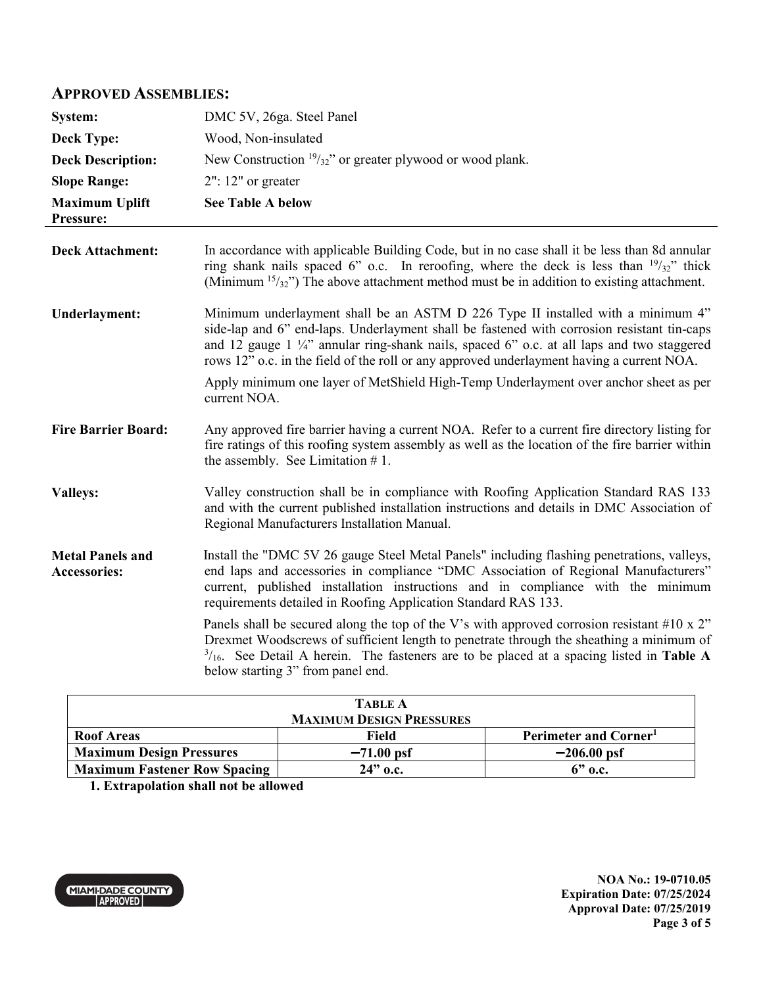### **APPROVED ASSEMBLIES:**

| System:                                        | DMC 5V, 26ga. Steel Panel                                                                                                                                                                                                                                                                                                                                                                                                                                                                                                                                                                                                                                              |
|------------------------------------------------|------------------------------------------------------------------------------------------------------------------------------------------------------------------------------------------------------------------------------------------------------------------------------------------------------------------------------------------------------------------------------------------------------------------------------------------------------------------------------------------------------------------------------------------------------------------------------------------------------------------------------------------------------------------------|
| <b>Deck Type:</b>                              | Wood, Non-insulated                                                                                                                                                                                                                                                                                                                                                                                                                                                                                                                                                                                                                                                    |
| <b>Deck Description:</b>                       | New Construction $19/32$ " or greater plywood or wood plank.                                                                                                                                                                                                                                                                                                                                                                                                                                                                                                                                                                                                           |
| <b>Slope Range:</b>                            | $2"$ : 12" or greater                                                                                                                                                                                                                                                                                                                                                                                                                                                                                                                                                                                                                                                  |
| <b>Maximum Uplift</b><br>Pressure:             | <b>See Table A below</b>                                                                                                                                                                                                                                                                                                                                                                                                                                                                                                                                                                                                                                               |
| <b>Deck Attachment:</b>                        | In accordance with applicable Building Code, but in no case shall it be less than 8d annular<br>ring shank nails spaced 6" o.c. In reroofing, where the deck is less than $\frac{19}{32}$ " thick<br>(Minimum $15/32$ ) The above attachment method must be in addition to existing attachment.                                                                                                                                                                                                                                                                                                                                                                        |
| <b>Underlayment:</b>                           | Minimum underlayment shall be an ASTM D 226 Type II installed with a minimum 4"<br>side-lap and 6" end-laps. Underlayment shall be fastened with corrosion resistant tin-caps<br>and 12 gauge $1\frac{1}{4}$ annular ring-shank nails, spaced 6" o.c. at all laps and two staggered<br>rows 12" o.c. in the field of the roll or any approved underlayment having a current NOA.<br>Apply minimum one layer of MetShield High-Temp Underlayment over anchor sheet as per<br>current NOA.                                                                                                                                                                               |
| <b>Fire Barrier Board:</b>                     | Any approved fire barrier having a current NOA. Refer to a current fire directory listing for<br>fire ratings of this roofing system assembly as well as the location of the fire barrier within<br>the assembly. See Limitation $# 1$ .                                                                                                                                                                                                                                                                                                                                                                                                                               |
| <b>Valleys:</b>                                | Valley construction shall be in compliance with Roofing Application Standard RAS 133<br>and with the current published installation instructions and details in DMC Association of<br>Regional Manufacturers Installation Manual.                                                                                                                                                                                                                                                                                                                                                                                                                                      |
| <b>Metal Panels and</b><br><b>Accessories:</b> | Install the "DMC 5V 26 gauge Steel Metal Panels" including flashing penetrations, valleys,<br>end laps and accessories in compliance "DMC Association of Regional Manufacturers"<br>current, published installation instructions and in compliance with the minimum<br>requirements detailed in Roofing Application Standard RAS 133.<br>Panels shall be secured along the top of the V's with approved corrosion resistant #10 x $2$ "<br>Drexmet Woodscrews of sufficient length to penetrate through the sheathing a minimum of<br>$3/16$ . See Detail A herein. The fasteners are to be placed at a spacing listed in Table A<br>below starting 3" from panel end. |
|                                                |                                                                                                                                                                                                                                                                                                                                                                                                                                                                                                                                                                                                                                                                        |

| <b>TABLE A</b>                      |              |                                   |
|-------------------------------------|--------------|-----------------------------------|
| <b>MAXIMUM DESIGN PRESSURES</b>     |              |                                   |
| <b>Roof Areas</b>                   | Field        | Perimeter and Corner <sup>1</sup> |
| <b>Maximum Design Pressures</b>     | $-71.00$ psf | $-206.00$ psf                     |
| <b>Maximum Fastener Row Spacing</b> | $24"$ o.c.   | $6"$ o.c.                         |
|                                     |              |                                   |

**1. Extrapolation shall not be allowed**

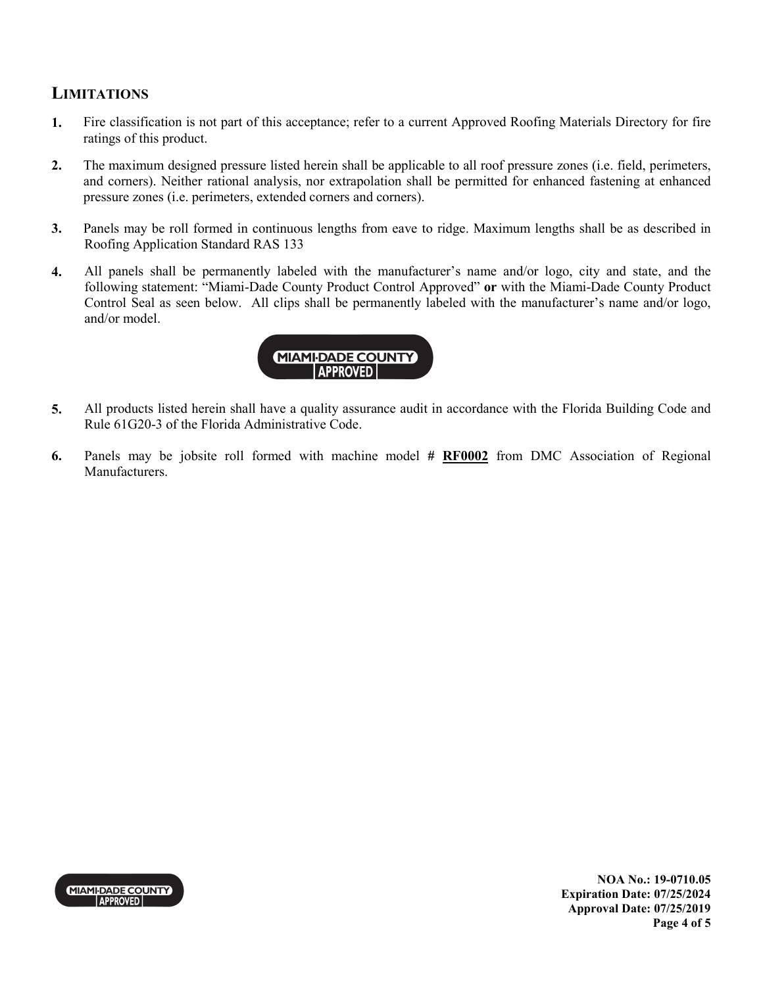### **LIMITATIONS**

- **1.** Fire classification is not part of this acceptance; refer to a current Approved Roofing Materials Directory for fire ratings of this product.
- **2.** The maximum designed pressure listed herein shall be applicable to all roof pressure zones (i.e. field, perimeters, and corners). Neither rational analysis, nor extrapolation shall be permitted for enhanced fastening at enhanced pressure zones (i.e. perimeters, extended corners and corners).
- **3.** Panels may be roll formed in continuous lengths from eave to ridge. Maximum lengths shall be as described in Roofing Application Standard RAS 133
- **4.** All panels shall be permanently labeled with the manufacturer's name and/or logo, city and state, and the following statement: "Miami-Dade County Product Control Approved" **or** with the Miami-Dade County Product Control Seal as seen below. All clips shall be permanently labeled with the manufacturer's name and/or logo, and/or model.



- **5.** All products listed herein shall have a quality assurance audit in accordance with the Florida Building Code and Rule 61G20-3 of the Florida Administrative Code.
- **6.** Panels may be jobsite roll formed with machine model **# RF0002** from DMC Association of Regional Manufacturers.



**NOA No.: 19-0710.05 Expiration Date: 07/25/2024 Approval Date: 07/25/2019 Page 4 of 5**